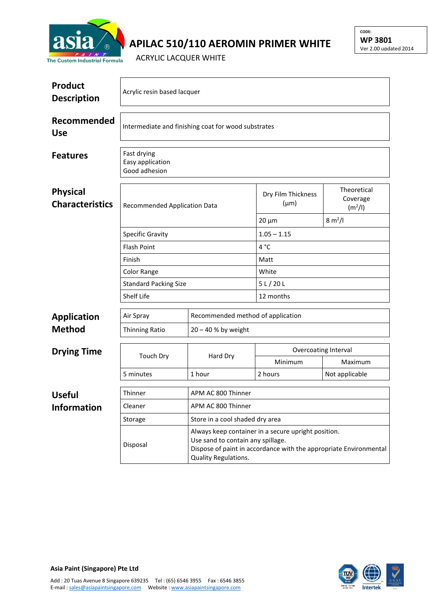

## **APILAC 510/110 AEROMIN PRIMER WHITE**

ACRYLIC LACQUER WHITE

| Product<br><b>Description</b>             | Acrylic resin based lacquer                                                          |                                   |                                 |                                                |  |  |  |
|-------------------------------------------|--------------------------------------------------------------------------------------|-----------------------------------|---------------------------------|------------------------------------------------|--|--|--|
| Recommended<br><b>Use</b>                 | Intermediate and finishing coat for wood substrates                                  |                                   |                                 |                                                |  |  |  |
| <b>Features</b>                           | Fast drying<br>Easy application<br>Good adhesion                                     |                                   |                                 |                                                |  |  |  |
| <b>Physical</b><br><b>Characteristics</b> | <b>Recommended Application Data</b><br><b>Specific Gravity</b><br><b>Flash Point</b> |                                   | Dry Film Thickness<br>$(\mu m)$ | Theoretical<br>Coverage<br>(m <sup>2</sup> /I) |  |  |  |
|                                           |                                                                                      |                                   | $20 \mu m$                      | $8 \text{ m}^2$ /I                             |  |  |  |
|                                           |                                                                                      |                                   | $1.05 - 1.15$                   |                                                |  |  |  |
|                                           |                                                                                      |                                   | 4°C                             |                                                |  |  |  |
|                                           | Finish                                                                               |                                   | Matt                            |                                                |  |  |  |
|                                           | Color Range                                                                          |                                   | White                           |                                                |  |  |  |
|                                           | <b>Standard Packing Size</b>                                                         |                                   | 5 L / 20 L                      |                                                |  |  |  |
|                                           | Shelf Life                                                                           |                                   | 12 months                       |                                                |  |  |  |
| <b>Application</b>                        | Air Spray                                                                            | Recommended method of application |                                 |                                                |  |  |  |
| <b>Method</b>                             | <b>Thinning Ratio</b>                                                                | $20 - 40$ % by weight             |                                 |                                                |  |  |  |
| <b>Drying Time</b>                        | <b>Touch Dry</b>                                                                     | Hard Dry                          | Overcoating Interval            |                                                |  |  |  |
|                                           |                                                                                      |                                   | Minimum                         | Maximum                                        |  |  |  |

|                    | 5 minutes      | 1 hour                                                                                                                                                                                       | 2 hours | Not applicable |
|--------------------|----------------|----------------------------------------------------------------------------------------------------------------------------------------------------------------------------------------------|---------|----------------|
|                    |                |                                                                                                                                                                                              |         |                |
| <b>Useful</b>      | <b>Thinner</b> | APM AC 800 Thinner                                                                                                                                                                           |         |                |
| <b>Information</b> | Cleaner        | APM AC 800 Thinner                                                                                                                                                                           |         |                |
|                    | Storage        | Store in a cool shaded dry area                                                                                                                                                              |         |                |
|                    | Disposal       | Always keep container in a secure upright position.<br>Use sand to contain any spillage.<br>Dispose of paint in accordance with the appropriate Environmental<br><b>Quality Regulations.</b> |         |                |



**CODE: WP 3801** Ver 2.00 updated 2014